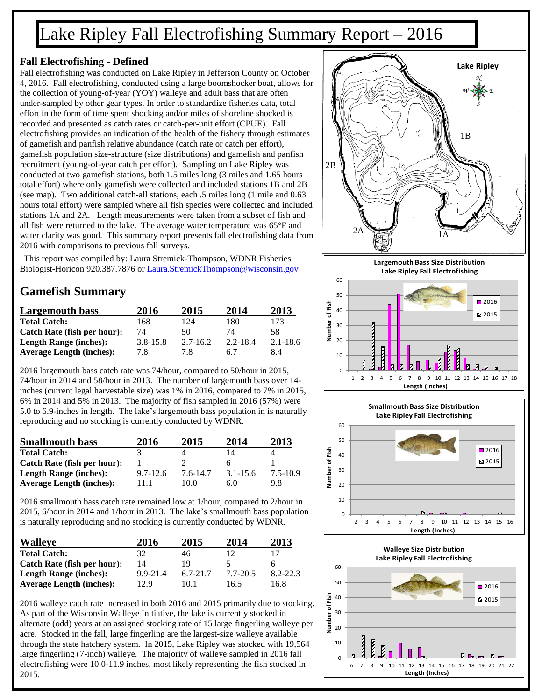# Lake Ripley Fall Electrofishing Summary Report – 2016

#### **Fall Electrofishing - Defined**

Fall electrofishing was conducted on Lake Ripley in Jefferson County on October 4, 2016. Fall electrofishing, conducted using a large boomshocker boat, allows for the collection of young-of-year (YOY) walleye and adult bass that are often under-sampled by other gear types. In order to standardize fisheries data, total effort in the form of time spent shocking and/or miles of shoreline shocked is recorded and presented as catch rates or catch-per-unit effort (CPUE). Fall electrofishing provides an indication of the health of the fishery through estimates of gamefish and panfish relative abundance (catch rate or catch per effort), gamefish population size-structure (size distributions) and gamefish and panfish recruitment (young-of-year catch per effort). Sampling on Lake Ripley was conducted at two gamefish stations, both 1.5 miles long (3 miles and 1.65 hours total effort) where only gamefish were collected and included stations 1B and 2B (see map). Two additional catch-all stations, each .5 miles long (1 mile and 0.63 hours total effort) were sampled where all fish species were collected and included stations 1A and 2A. Length measurements were taken from a subset of fish and all fish were returned to the lake. The average water temperature was 65°F and water clarity was good. This summary report presents fall electrofishing data from 2016 with comparisons to previous fall surveys.

This report was compiled by: Laura Stremick-Thompson, WDNR Fisheries Biologist-Horicon 920.387.7876 or [Laura.StremickThompson@wisconsin.gov](mailto:Laura.StremickThompson@wisconsin.gov)

### **Gamefish Summary**

| <b>Largemouth bass</b>          | 2016         | 2015         | 2014     | 2013         |
|---------------------------------|--------------|--------------|----------|--------------|
| <b>Total Catch:</b>             | 168          | 124          | 180      | 173          |
| Catch Rate (fish per hour):     | 74           | 50           | 74       | 58           |
| <b>Length Range (inches):</b>   | $3.8 - 15.8$ | $2.7 - 16.2$ | 2.2-18.4 | $2.1 - 18.6$ |
| <b>Average Length (inches):</b> | 7.8          | 7.8          | 6.7      | 84           |

2016 largemouth bass catch rate was 74/hour, compared to 50/hour in 2015, 74/hour in 2014 and 58/hour in 2013. The number of largemouth bass over 14 inches (current legal harvestable size) was 1% in 2016, compared to 7% in 2015, 6% in 2014 and 5% in 2013. The majority of fish sampled in 2016 (57%) were 5.0 to 6.9-inches in length. The lake's largemouth bass population in is naturally reproducing and no stocking is currently conducted by WDNR.

| <b>Smallmouth bass</b>          | 2016         | 2015     | 2014         | 2013     |
|---------------------------------|--------------|----------|--------------|----------|
| <b>Total Catch:</b>             |              |          | 14           |          |
| Catch Rate (fish per hour):     |              |          |              |          |
| <b>Length Range (inches):</b>   | $9.7 - 12.6$ | 7.6-14.7 | $3.1 - 15.6$ | 7.5-10.9 |
| <b>Average Length (inches):</b> | 11.1         | 10.0     | 6.0          | 9.8      |

2016 smallmouth bass catch rate remained low at 1/hour, compared to 2/hour in 2015, 6/hour in 2014 and 1/hour in 2013. The lake's smallmouth bass population is naturally reproducing and no stocking is currently conducted by WDNR.

| <b>Walleye</b>                  | 2016         | 2015         | 2014     | 2013     |
|---------------------------------|--------------|--------------|----------|----------|
| <b>Total Catch:</b>             | 32           | 46           | 12       |          |
| Catch Rate (fish per hour):     | 14           | 19           |          | h        |
| <b>Length Range (inches):</b>   | $9.9 - 21.4$ | $6.7 - 21.7$ | 7.7-20.5 | 8.2-22.3 |
| <b>Average Length (inches):</b> | 12.9         | 10.1         | 16.5     | 16.8     |

2016 walleye catch rate increased in both 2016 and 2015 primarily due to stocking. As part of the Wisconsin Walleye Initiative, the lake is currently stocked in alternate (odd) years at an assigned stocking rate of 15 large fingerling walleye per acre. Stocked in the fall, large fingerling are the largest-size walleye available through the state hatchery system. In 2015, Lake Ripley was stocked with 19,564 large fingerling (7-inch) walleye. The majority of walleye sampled in 2016 fall electrofishing were 10.0-11.9 inches, most likely representing the fish stocked in 2015.